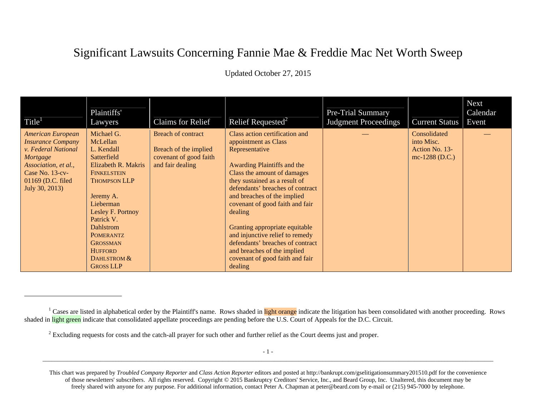## Significant Lawsuits Concerning Fannie Mae & Freddie Mac Net Worth Sweep

Updated October 27, 2015

| Title <sup>1</sup>                                                                                                                                                        | Plaintiffs'<br>Lawyers                                                                                                                                                                                                                                                                                      | <b>Claims for Relief</b>                                                                         | Relief Requested <sup>2</sup>                                                                                                                                                                                                                                                                                                                                                                                                                                                  | <b>Pre-Trial Summary</b><br><b>Judgment Proceedings</b> | <b>Current Status</b>                                          | <b>Next</b><br>Calendar<br>Event |
|---------------------------------------------------------------------------------------------------------------------------------------------------------------------------|-------------------------------------------------------------------------------------------------------------------------------------------------------------------------------------------------------------------------------------------------------------------------------------------------------------|--------------------------------------------------------------------------------------------------|--------------------------------------------------------------------------------------------------------------------------------------------------------------------------------------------------------------------------------------------------------------------------------------------------------------------------------------------------------------------------------------------------------------------------------------------------------------------------------|---------------------------------------------------------|----------------------------------------------------------------|----------------------------------|
| <b>American European</b><br><b>Insurance Company</b><br>v. Federal National<br>Mortgage<br>Association, et al.,<br>Case No. 13-cv-<br>01169 (D.C. filed<br>July 30, 2013) | Michael G.<br>McLellan<br>L. Kendall<br>Satterfield<br><b>Elizabeth R. Makris</b><br><b>FINKELSTEIN</b><br><b>THOMPSON LLP</b><br>Jeremy A.<br>Lieberman<br>Lesley F. Portnoy<br>Patrick V.<br><b>Dahlstrom</b><br><b>POMERANTZ</b><br><b>GROSSMAN</b><br><b>HUFFORD</b><br>DAHLSTROM &<br><b>GROSS LLP</b> | <b>Breach of contract</b><br>Breach of the implied<br>covenant of good faith<br>and fair dealing | Class action certification and<br>appointment as Class<br>Representative<br>Awarding Plaintiffs and the<br>Class the amount of damages<br>they sustained as a result of<br>defendants' breaches of contract<br>and breaches of the implied<br>covenant of good faith and fair<br>dealing<br>Granting appropriate equitable<br>and injunctive relief to remedy<br>defendants' breaches of contract<br>and breaches of the implied<br>covenant of good faith and fair<br>dealing |                                                         | Consolidated<br>into Misc.<br>Action No. 13-<br>mc-1288 (D.C.) |                                  |

<sup>&</sup>lt;sup>1</sup> Cases are listed in alphabetical order by the Plaintiff's name. Rows shaded in light orange indicate the litigation has been consolidated with another proceeding. Rows shaded in light green indicate that consolidated appellate proceedings are pending before the U.S. Court of Appeals for the D.C. Circuit.

<sup>&</sup>lt;sup>2</sup> Excluding requests for costs and the catch-all prayer for such other and further relief as the Court deems just and proper.

This chart was prepared by *Troubled Company Reporter* and *Class Action Reporter* editors and posted at http://bankrupt.com/gselitigationsummary201510.pdf for the convenience of those newsletters' subscribers. All rights reserved. Copyright © 2015 Bankruptcy Creditors' Service, Inc., and Beard Group, Inc. Unaltered, this document may be freely shared with anyone for any purpose. For additional information, contact Peter A. Chapman at peter@beard.com by e-mail or (215) 945-7000 by telephone.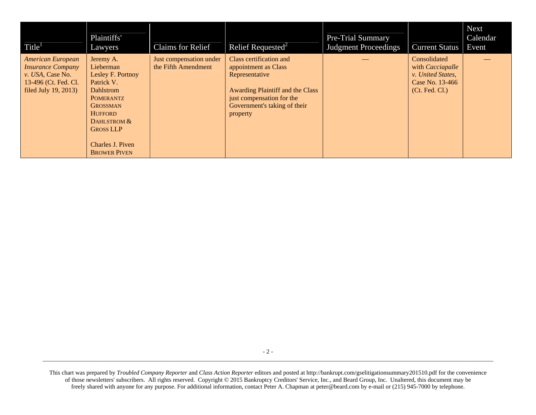| Title <sup>1</sup>                                                                                                | Plaintiffs'<br>Lawyers                                                                                                                                                                                               | <b>Claims for Relief</b>                       | Relief Requested <sup>2</sup>                                                                                                                                                         | <b>Pre-Trial Summary</b><br><b>Judgment Proceedings</b> | <b>Current Status</b>                                                                                   | <b>Next</b><br>Calendar<br>Event |
|-------------------------------------------------------------------------------------------------------------------|----------------------------------------------------------------------------------------------------------------------------------------------------------------------------------------------------------------------|------------------------------------------------|---------------------------------------------------------------------------------------------------------------------------------------------------------------------------------------|---------------------------------------------------------|---------------------------------------------------------------------------------------------------------|----------------------------------|
| American European<br><b>Insurance Company</b><br>v. USA, Case No.<br>13-496 (Ct. Fed. Cl.<br>filed July 19, 2013) | Jeremy A.<br>Lieberman<br>Lesley F. Portnoy<br>Patrick V.<br><b>Dahlstrom</b><br><b>POMERANTZ</b><br><b>GROSSMAN</b><br><b>HUFFORD</b><br>DAHLSTROM &<br><b>GROSS LLP</b><br>Charles J. Piven<br><b>BROWER PIVEN</b> | Just compensation under<br>the Fifth Amendment | Class certification and<br>appointment as Class<br>Representative<br><b>Awarding Plaintiff and the Class</b><br>just compensation for the<br>Government's taking of their<br>property |                                                         | Consolidated<br>with <i>Cacciapalle</i><br>v. United States,<br>Case No. 13-466<br>$($ Ct. Fed. Cl. $)$ |                                  |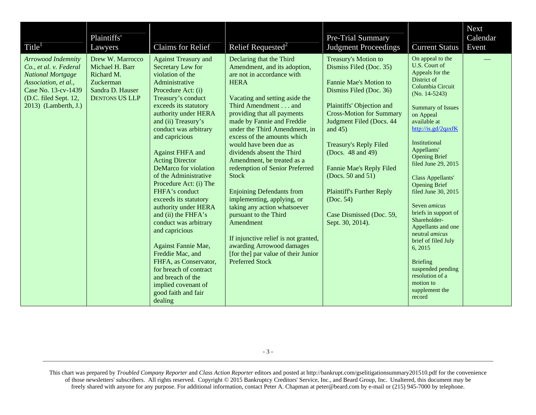| Title <sup>1</sup>                                                                                                                                                       | Plaintiffs'<br>Lawyers                                                                                      | Claims for Relief                                                                                                                                                                                                                                                                                                                                                                                                                                                                                                                                                                                                                                                                                       | Relief Requested <sup>2</sup>                                                                                                                                                                                                                                                                                                                                                                                                                                                                                                                                                                                                                                                                                     | Pre-Trial Summary<br><b>Judgment Proceedings</b>                                                                                                                                                                                                                                                                                                                                                                              | <b>Current Status</b>                                                                                                                                                                                                                                                                                                                                                                                                                                                                                                                                                                             | Next<br>Calendar<br>Event |
|--------------------------------------------------------------------------------------------------------------------------------------------------------------------------|-------------------------------------------------------------------------------------------------------------|---------------------------------------------------------------------------------------------------------------------------------------------------------------------------------------------------------------------------------------------------------------------------------------------------------------------------------------------------------------------------------------------------------------------------------------------------------------------------------------------------------------------------------------------------------------------------------------------------------------------------------------------------------------------------------------------------------|-------------------------------------------------------------------------------------------------------------------------------------------------------------------------------------------------------------------------------------------------------------------------------------------------------------------------------------------------------------------------------------------------------------------------------------------------------------------------------------------------------------------------------------------------------------------------------------------------------------------------------------------------------------------------------------------------------------------|-------------------------------------------------------------------------------------------------------------------------------------------------------------------------------------------------------------------------------------------------------------------------------------------------------------------------------------------------------------------------------------------------------------------------------|---------------------------------------------------------------------------------------------------------------------------------------------------------------------------------------------------------------------------------------------------------------------------------------------------------------------------------------------------------------------------------------------------------------------------------------------------------------------------------------------------------------------------------------------------------------------------------------------------|---------------------------|
| Arrowood Indemnity<br>Co., et al. v. Federal<br><b>National Mortgage</b><br>Association, et al.,<br>Case No. 13-cv-1439<br>(D.C. filed Sept. 12,<br>2013) (Lamberth, J.) | Drew W. Marrocco<br>Michael H. Barr<br>Richard M.<br>Zuckerman<br>Sandra D. Hauser<br><b>DENTONS US LLP</b> | <b>Against Treasury and</b><br>Secretary Lew for<br>violation of the<br>Administrative<br>Procedure Act: (i)<br>Treasury's conduct<br>exceeds its statutory<br>authority under HERA<br>and (ii) Treasury's<br>conduct was arbitrary<br>and capricious<br><b>Against FHFA and</b><br><b>Acting Director</b><br>DeMarco for violation<br>of the Administrative<br>Procedure Act: (i) The<br>FHFA's conduct<br>exceeds its statutory<br>authority under HERA<br>and (ii) the FHFA's<br>conduct was arbitrary<br>and capricious<br>Against Fannie Mae,<br>Freddie Mac, and<br>FHFA, as Conservator,<br>for breach of contract<br>and breach of the<br>implied covenant of<br>good faith and fair<br>dealing | Declaring that the Third<br>Amendment, and its adoption,<br>are not in accordance with<br><b>HERA</b><br>Vacating and setting aside the<br>Third Amendment and<br>providing that all payments<br>made by Fannie and Freddie<br>under the Third Amendment, in<br>excess of the amounts which<br>would have been due as<br>dividends absent the Third<br>Amendment, be treated as a<br>redemption of Senior Preferred<br><b>Stock</b><br><b>Enjoining Defendants from</b><br>implementing, applying, or<br>taking any action whatsoever<br>pursuant to the Third<br>Amendment<br>If injunctive relief is not granted,<br>awarding Arrowood damages<br>[for the] par value of their Junior<br><b>Preferred Stock</b> | Treasury's Motion to<br>Dismiss Filed (Doc. 35)<br>Fannie Mae's Motion to<br>Dismiss Filed (Doc. 36)<br>Plaintiffs' Objection and<br><b>Cross-Motion for Summary</b><br>Judgment Filed (Docs. 44<br>and $45$ )<br><b>Treasury's Reply Filed</b><br>(Docs. 48 and 49)<br><b>Fannie Mae's Reply Filed</b><br>(Docs. 50 and 51)<br><b>Plaintiff's Further Reply</b><br>(Doc. 54)<br>Case Dismissed (Doc. 59,<br>Sept. 30, 2014). | On appeal to the<br>U.S. Court of<br>Appeals for the<br>District of<br>Columbia Circuit<br>$(No. 14-5243)$<br><b>Summary of Issues</b><br>on Appeal<br>available at<br>http://is.gd/2qaxfK<br>Institutional<br>Appellants'<br><b>Opening Brief</b><br>filed June 29, 2015<br>Class Appellants'<br><b>Opening Brief</b><br>filed June 30, 2015<br>Seven <i>amicus</i><br>briefs in support of<br>Shareholder-<br>Appellants and one<br>neutral <i>amicus</i><br>brief of filed July<br>6, 2015<br><b>Briefing</b><br>suspended pending<br>resolution of a<br>motion to<br>supplement the<br>record |                           |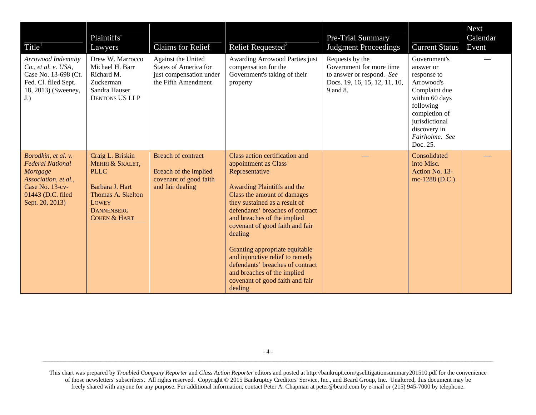| Title <sup>1</sup>                                                                                                                            | Plaintiffs'<br>Lawyers                                                                                                                                     | Claims for Relief                                                                                    | Relief Requested <sup>2</sup>                                                                                                                                                                                                                                                                                                                                                                                                                                                  | Pre-Trial Summary<br><b>Judgment Proceedings</b>                                                                      | <b>Current Status</b>                                                                                                                                                                   | Next<br>Calendar<br>Event |
|-----------------------------------------------------------------------------------------------------------------------------------------------|------------------------------------------------------------------------------------------------------------------------------------------------------------|------------------------------------------------------------------------------------------------------|--------------------------------------------------------------------------------------------------------------------------------------------------------------------------------------------------------------------------------------------------------------------------------------------------------------------------------------------------------------------------------------------------------------------------------------------------------------------------------|-----------------------------------------------------------------------------------------------------------------------|-----------------------------------------------------------------------------------------------------------------------------------------------------------------------------------------|---------------------------|
| Arrowood Indemnity<br>$Co.$ , et al. v. USA,<br>Case No. 13-698 (Ct.<br>Fed. Cl. filed Sept.<br>18, 2013) (Sweeney,<br>$J.$ )                 | Drew W. Marrocco<br>Michael H. Barr<br>Richard M.<br>Zuckerman<br>Sandra Hauser<br><b>DENTONS US LLP</b>                                                   | Against the United<br><b>States of America for</b><br>just compensation under<br>the Fifth Amendment | Awarding Arrowood Parties just<br>compensation for the<br>Government's taking of their<br>property                                                                                                                                                                                                                                                                                                                                                                             | Requests by the<br>Government for more time<br>to answer or respond. See<br>Docs. 19, 16, 15, 12, 11, 10,<br>9 and 8. | Government's<br>answer or<br>response to<br>Arrowood's<br>Complaint due<br>within 60 days<br>following<br>completion of<br>jurisdictional<br>discovery in<br>Fairholme. See<br>Doc. 25. |                           |
| Borodkin, et al. v.<br><b>Federal National</b><br>Mortgage<br>Association, et al.,<br>Case No. 13-cv-<br>01443 (D.C. filed<br>Sept. 20, 2013) | Craig L. Briskin<br>MEHRI & SKALET,<br><b>PLLC</b><br>Barbara J. Hart<br>Thomas A. Skelton<br><b>LOWEY</b><br><b>DANNENBERG</b><br><b>COHEN &amp; HART</b> | <b>Breach of contract</b><br>Breach of the implied<br>covenant of good faith<br>and fair dealing     | Class action certification and<br>appointment as Class<br>Representative<br>Awarding Plaintiffs and the<br>Class the amount of damages<br>they sustained as a result of<br>defendants' breaches of contract<br>and breaches of the implied<br>covenant of good faith and fair<br>dealing<br>Granting appropriate equitable<br>and injunctive relief to remedy<br>defendants' breaches of contract<br>and breaches of the implied<br>covenant of good faith and fair<br>dealing |                                                                                                                       | Consolidated<br>into Misc.<br>Action No. 13-<br>mc-1288 (D.C.)                                                                                                                          |                           |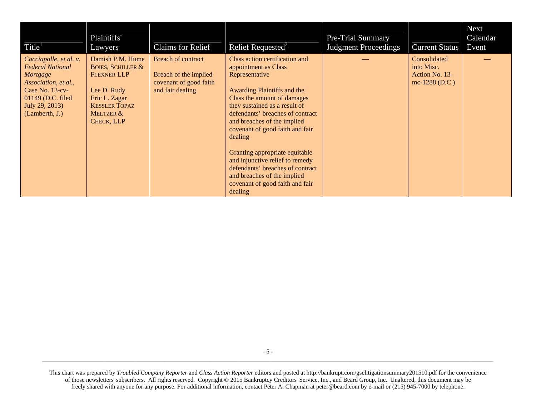| Title <sup>1</sup>                                                                                                                                                 | Plaintiffs'<br>Lawyers                                                                                                                                    | <b>Claims for Relief</b>                                                                         | Relief Requested <sup>2</sup>                                                                                                                                                                                                                                                                                                                                                                                                                                                  | <b>Pre-Trial Summary</b><br><b>Judgment Proceedings</b> | <b>Current Status</b>                                          | <b>Next</b><br>Calendar<br>Event |
|--------------------------------------------------------------------------------------------------------------------------------------------------------------------|-----------------------------------------------------------------------------------------------------------------------------------------------------------|--------------------------------------------------------------------------------------------------|--------------------------------------------------------------------------------------------------------------------------------------------------------------------------------------------------------------------------------------------------------------------------------------------------------------------------------------------------------------------------------------------------------------------------------------------------------------------------------|---------------------------------------------------------|----------------------------------------------------------------|----------------------------------|
| Cacciapalle, et al. v.<br><b>Federal National</b><br>Mortgage<br>Association, et al.,<br>Case No. $13-cv$<br>01149 (D.C. filed<br>July 29, 2013)<br>(Lamberth, J.) | Hamish P.M. Hume<br><b>BOIES, SCHILLER &amp;</b><br><b>FLEXNER LLP</b><br>Lee D. Rudy<br>Eric L. Zagar<br><b>KESSLER TOPAZ</b><br>MELTZER &<br>CHECK, LLP | <b>Breach of contract</b><br>Breach of the implied<br>covenant of good faith<br>and fair dealing | Class action certification and<br>appointment as Class<br>Representative<br>Awarding Plaintiffs and the<br>Class the amount of damages<br>they sustained as a result of<br>defendants' breaches of contract<br>and breaches of the implied<br>covenant of good faith and fair<br>dealing<br>Granting appropriate equitable<br>and injunctive relief to remedy<br>defendants' breaches of contract<br>and breaches of the implied<br>covenant of good faith and fair<br>dealing |                                                         | Consolidated<br>into Misc.<br>Action No. 13-<br>mc-1288 (D.C.) |                                  |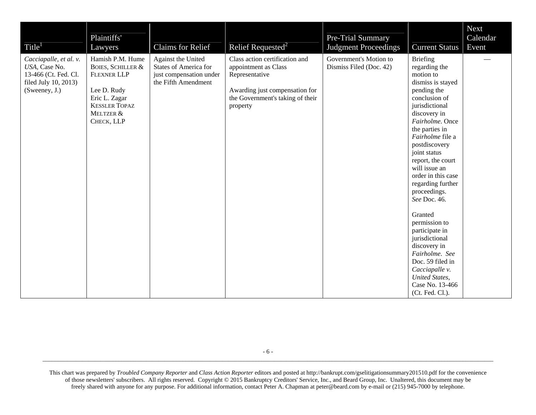| Title <sup>1</sup>                                                                                       | Plaintiffs'<br>Lawyers                                                                                                                                    | Claims for Relief                                                                                    | Relief Requested <sup>2</sup>                                                                                                                              | Pre-Trial Summary<br><b>Judgment Proceedings</b>  | <b>Current Status</b>                                                                                                                                                                                                                                                                                                                                                                                                                                                                                                                           | <b>Next</b><br>Calendar<br>Event |
|----------------------------------------------------------------------------------------------------------|-----------------------------------------------------------------------------------------------------------------------------------------------------------|------------------------------------------------------------------------------------------------------|------------------------------------------------------------------------------------------------------------------------------------------------------------|---------------------------------------------------|-------------------------------------------------------------------------------------------------------------------------------------------------------------------------------------------------------------------------------------------------------------------------------------------------------------------------------------------------------------------------------------------------------------------------------------------------------------------------------------------------------------------------------------------------|----------------------------------|
| Cacciapalle, et al. v.<br>USA, Case No.<br>13-466 (Ct. Fed. Cl.<br>filed July 10, 2013)<br>(Sweeney, J.) | Hamish P.M. Hume<br><b>BOIES, SCHILLER &amp;</b><br><b>FLEXNER LLP</b><br>Lee D. Rudy<br>Eric L. Zagar<br><b>KESSLER TOPAZ</b><br>MELTZER &<br>CHECK, LLP | Against the United<br><b>States of America for</b><br>just compensation under<br>the Fifth Amendment | Class action certification and<br>appointment as Class<br>Representative<br>Awarding just compensation for<br>the Government's taking of their<br>property | Government's Motion to<br>Dismiss Filed (Doc. 42) | <b>Briefing</b><br>regarding the<br>motion to<br>dismiss is stayed<br>pending the<br>conclusion of<br>jurisdictional<br>discovery in<br>Fairholme. Once<br>the parties in<br>Fairholme file a<br>postdiscovery<br>joint status<br>report, the court<br>will issue an<br>order in this case<br>regarding further<br>proceedings.<br>See Doc. 46.<br>Granted<br>permission to<br>participate in<br>jurisdictional<br>discovery in<br>Fairholme. See<br>Doc. 59 filed in<br>Cacciapalle v.<br>United States,<br>Case No. 13-466<br>(Ct. Fed. Cl.). |                                  |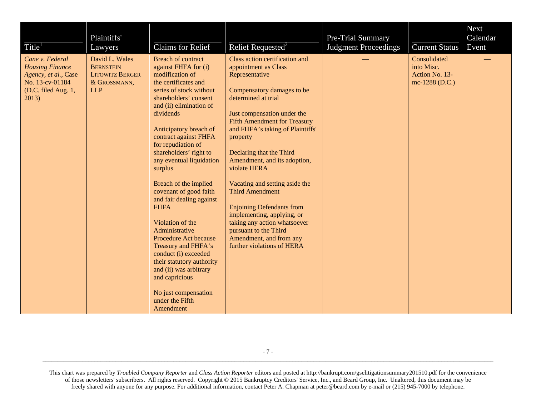| Title <sup>1</sup>                                                                                                   | Plaintiffs'<br>Lawyers                                                                     | Claims for Relief                                                                                                                                                                                                                                                                                                                                                                                                                                                                                                                                                                                                                                                               | Relief Requested <sup>2</sup>                                                                                                                                                                                                                                                                                                                                                                                                                                                                                                                                                   | Pre-Trial Summary<br><b>Judgment Proceedings</b> | <b>Current Status</b>                                          | Next<br>Calendar<br>Event |
|----------------------------------------------------------------------------------------------------------------------|--------------------------------------------------------------------------------------------|---------------------------------------------------------------------------------------------------------------------------------------------------------------------------------------------------------------------------------------------------------------------------------------------------------------------------------------------------------------------------------------------------------------------------------------------------------------------------------------------------------------------------------------------------------------------------------------------------------------------------------------------------------------------------------|---------------------------------------------------------------------------------------------------------------------------------------------------------------------------------------------------------------------------------------------------------------------------------------------------------------------------------------------------------------------------------------------------------------------------------------------------------------------------------------------------------------------------------------------------------------------------------|--------------------------------------------------|----------------------------------------------------------------|---------------------------|
| Cane v. Federal<br><b>Housing Finance</b><br>Agency, et al., Case<br>No. 13-cv-01184<br>(D.C. filed Aug. 1,<br>2013) | David L. Wales<br><b>BERNSTEIN</b><br><b>LITOWITZ BERGER</b><br>& GROSSMANN,<br><b>LLP</b> | <b>Breach of contract</b><br>against FHFA for (i)<br>modification of<br>the certificates and<br>series of stock without<br>shareholders' consent<br>and (ii) elimination of<br>dividends<br>Anticipatory breach of<br>contract against FHFA<br>for repudiation of<br>shareholders' right to<br>any eventual liquidation<br>surplus<br>Breach of the implied<br>covenant of good faith<br>and fair dealing against<br><b>FHFA</b><br>Violation of the<br>Administrative<br>Procedure Act because<br>Treasury and FHFA's<br>conduct (i) exceeded<br>their statutory authority<br>and (ii) was arbitrary<br>and capricious<br>No just compensation<br>under the Fifth<br>Amendment | Class action certification and<br>appointment as Class<br>Representative<br>Compensatory damages to be<br>determined at trial<br>Just compensation under the<br><b>Fifth Amendment for Treasury</b><br>and FHFA's taking of Plaintiffs'<br>property<br>Declaring that the Third<br>Amendment, and its adoption,<br>violate HERA<br>Vacating and setting aside the<br><b>Third Amendment</b><br><b>Enjoining Defendants from</b><br>implementing, applying, or<br>taking any action whatsoever<br>pursuant to the Third<br>Amendment, and from any<br>further violations of HERA |                                                  | Consolidated<br>into Misc.<br>Action No. 13-<br>mc-1288 (D.C.) |                           |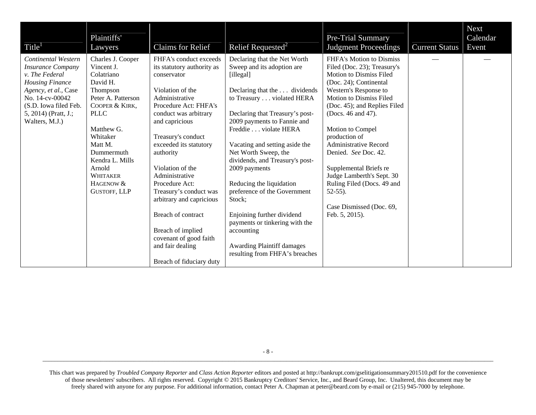| Title <sup>1</sup>                                                                                                                                                                                        | Plaintiffs'<br>Lawyers                                                                                                                                                                                                                                       | <b>Claims for Relief</b>                                                                                                                                                                                                                                                                                                                                                                                                                                                      | Relief Requested <sup>2</sup>                                                                                                                                                                                                                                                                                                                                                                                                                                                                                                                                            | Pre-Trial Summary<br><b>Judgment Proceedings</b>                                                                                                                                                                                                                                                                                                                                                                                                                                   | <b>Current Status</b> | <b>Next</b><br>Calendar<br>Event |
|-----------------------------------------------------------------------------------------------------------------------------------------------------------------------------------------------------------|--------------------------------------------------------------------------------------------------------------------------------------------------------------------------------------------------------------------------------------------------------------|-------------------------------------------------------------------------------------------------------------------------------------------------------------------------------------------------------------------------------------------------------------------------------------------------------------------------------------------------------------------------------------------------------------------------------------------------------------------------------|--------------------------------------------------------------------------------------------------------------------------------------------------------------------------------------------------------------------------------------------------------------------------------------------------------------------------------------------------------------------------------------------------------------------------------------------------------------------------------------------------------------------------------------------------------------------------|------------------------------------------------------------------------------------------------------------------------------------------------------------------------------------------------------------------------------------------------------------------------------------------------------------------------------------------------------------------------------------------------------------------------------------------------------------------------------------|-----------------------|----------------------------------|
| Continental Western<br><b>Insurance Company</b><br>v. The Federal<br><b>Housing Finance</b><br>Agency, et al., Case<br>No. 14-cv-00042<br>(S.D. Iowa filed Feb.<br>5, 2014) (Pratt, J.;<br>Walters, M.J.) | Charles J. Cooper<br>Vincent J.<br>Colatriano<br>David H.<br>Thompson<br>Peter A. Patterson<br>COOPER & KIRK,<br><b>PLLC</b><br>Matthew G.<br>Whitaker<br>Matt M.<br>Dummermuth<br>Kendra L. Mills<br>Arnold<br>WHITAKER<br>HAGENOW &<br><b>GUSTOFF, LLP</b> | FHFA's conduct exceeds<br>its statutory authority as<br>conservator<br>Violation of the<br>Administrative<br>Procedure Act: FHFA's<br>conduct was arbitrary<br>and capricious<br>Treasury's conduct<br>exceeded its statutory<br>authority<br>Violation of the<br>Administrative<br>Procedure Act:<br>Treasury's conduct was<br>arbitrary and capricious<br>Breach of contract<br>Breach of implied<br>covenant of good faith<br>and fair dealing<br>Breach of fiduciary duty | Declaring that the Net Worth<br>Sweep and its adoption are<br>[illegal]<br>Declaring that the  dividends<br>to Treasury violated HERA<br>Declaring that Treasury's post-<br>2009 payments to Fannie and<br>Freddie violate HERA<br>Vacating and setting aside the<br>Net Worth Sweep, the<br>dividends, and Treasury's post-<br>2009 payments<br>Reducing the liquidation<br>preference of the Government<br>Stock;<br>Enjoining further dividend<br>payments or tinkering with the<br>accounting<br><b>Awarding Plaintiff damages</b><br>resulting from FHFA's breaches | FHFA's Motion to Dismiss<br>Filed (Doc. 23); Treasury's<br><b>Motion to Dismiss Filed</b><br>(Doc. 24); Continental<br>Western's Response to<br><b>Motion to Dismiss Filed</b><br>(Doc. 45); and Replies Filed<br>(Docs. 46 and 47).<br>Motion to Compel<br>production of<br><b>Administrative Record</b><br>Denied. See Doc. 42.<br>Supplemental Briefs re<br>Judge Lamberth's Sept. 30<br>Ruling Filed (Docs. 49 and<br>$52-55$ ).<br>Case Dismissed (Doc. 69,<br>Feb. 5, 2015). |                       |                                  |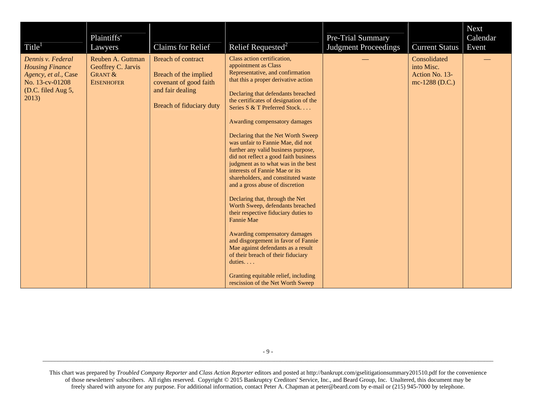| Title <sup>1</sup>                                                                                                    | Plaintiffs'<br>Lawyers                                                             | Claims for Relief                                                                                                            | Relief Requested <sup>2</sup>                                                                                                                                                                                                                                                                                                                                                                                                                                                                                                                                                                                                                                                                                                                                                                                                                                                                                                                                                    | Pre-Trial Summary<br><b>Judgment Proceedings</b> | <b>Current Status</b>                                          | <b>Next</b><br>Calendar<br>Event |
|-----------------------------------------------------------------------------------------------------------------------|------------------------------------------------------------------------------------|------------------------------------------------------------------------------------------------------------------------------|----------------------------------------------------------------------------------------------------------------------------------------------------------------------------------------------------------------------------------------------------------------------------------------------------------------------------------------------------------------------------------------------------------------------------------------------------------------------------------------------------------------------------------------------------------------------------------------------------------------------------------------------------------------------------------------------------------------------------------------------------------------------------------------------------------------------------------------------------------------------------------------------------------------------------------------------------------------------------------|--------------------------------------------------|----------------------------------------------------------------|----------------------------------|
| Dennis v. Federal<br><b>Housing Finance</b><br>Agency, et al., Case<br>No. 13-cv-01208<br>(D.C. filed Aug 5,<br>2013) | Reuben A. Guttman<br>Geoffrey C. Jarvis<br><b>GRANT &amp;</b><br><b>EISENHOFER</b> | <b>Breach of contract</b><br>Breach of the implied<br>covenant of good faith<br>and fair dealing<br>Breach of fiduciary duty | Class action certification,<br>appointment as Class<br>Representative, and confirmation<br>that this a proper derivative action<br>Declaring that defendants breached<br>the certificates of designation of the<br>Series S & T Preferred Stock<br>Awarding compensatory damages<br>Declaring that the Net Worth Sweep<br>was unfair to Fannie Mae, did not<br>further any valid business purpose,<br>did not reflect a good faith business<br>judgment as to what was in the best<br>interests of Fannie Mae or its<br>shareholders, and constituted waste<br>and a gross abuse of discretion<br>Declaring that, through the Net<br>Worth Sweep, defendants breached<br>their respective fiduciary duties to<br>Fannie Mae<br>Awarding compensatory damages<br>and disgorgement in favor of Fannie<br>Mae against defendants as a result<br>of their breach of their fiduciary<br>duties. $\ldots$<br>Granting equitable relief, including<br>rescission of the Net Worth Sweep |                                                  | Consolidated<br>into Misc.<br>Action No. 13-<br>mc-1288 (D.C.) |                                  |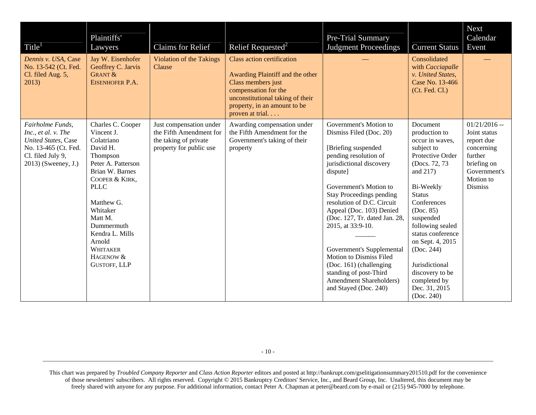| Title <sup>1</sup>                                                                                                                         | Plaintiffs'<br>Lawyers                                                                                                                                                                                                                                                                 | Claims for Relief                                                                                      | Relief Requested <sup>2</sup>                                                                                                                                                                              | Pre-Trial Summary<br><b>Judgment Proceedings</b>                                                                                                                                                                                                                                                                                                                                                                                                                                               | <b>Current Status</b>                                                                                                                                                                                                                                                                                                                              | <b>Next</b><br>Calendar<br>Event                                                                                                    |
|--------------------------------------------------------------------------------------------------------------------------------------------|----------------------------------------------------------------------------------------------------------------------------------------------------------------------------------------------------------------------------------------------------------------------------------------|--------------------------------------------------------------------------------------------------------|------------------------------------------------------------------------------------------------------------------------------------------------------------------------------------------------------------|------------------------------------------------------------------------------------------------------------------------------------------------------------------------------------------------------------------------------------------------------------------------------------------------------------------------------------------------------------------------------------------------------------------------------------------------------------------------------------------------|----------------------------------------------------------------------------------------------------------------------------------------------------------------------------------------------------------------------------------------------------------------------------------------------------------------------------------------------------|-------------------------------------------------------------------------------------------------------------------------------------|
| Dennis v. USA, Case<br>No. 13-542 (Ct. Fed.<br>Cl. filed Aug. 5,<br>2013)                                                                  | Jay W. Eisenhofer<br>Geoffrey C. Jarvis<br><b>GRANT &amp;</b><br>EISENHOFER P.A.                                                                                                                                                                                                       | <b>Violation of the Takings</b><br>Clause                                                              | <b>Class action certification</b><br>Awarding Plaintiff and the other<br>Class members just<br>compensation for the<br>unconstitutional taking of their<br>property, in an amount to be<br>proven at trial |                                                                                                                                                                                                                                                                                                                                                                                                                                                                                                | Consolidated<br>with Cacciapalle<br>v. United States,<br>Case No. 13-466<br>(Ct. Fed. Cl.)                                                                                                                                                                                                                                                         |                                                                                                                                     |
| Fairholme Funds,<br>Inc., et al. v. The<br><b>United States</b> , Case<br>No. 13-465 (Ct. Fed.<br>Cl. filed July 9,<br>2013) (Sweeney, J.) | Charles C. Cooper<br>Vincent J.<br>Colatriano<br>David H.<br>Thompson<br>Peter A. Patterson<br>Brian W. Barnes<br>COOPER & KIRK,<br><b>PLLC</b><br>Matthew G.<br>Whitaker<br>Matt M.<br>Dummermuth<br>Kendra L. Mills<br>Arnold<br><b>WHITAKER</b><br>HAGENOW &<br><b>GUSTOFF, LLP</b> | Just compensation under<br>the Fifth Amendment for<br>the taking of private<br>property for public use | Awarding compensation under<br>the Fifth Amendment for the<br>Government's taking of their<br>property                                                                                                     | Government's Motion to<br>Dismiss Filed (Doc. 20)<br>[Briefing suspended<br>pending resolution of<br>jurisdictional discovery<br>dispute]<br>Government's Motion to<br><b>Stay Proceedings pending</b><br>resolution of D.C. Circuit<br>Appeal (Doc. 103) Denied<br>(Doc. 127, Tr. dated Jan. 28,<br>2015, at 33:9-10.<br>Government's Supplemental<br>Motion to Dismiss Filed<br>(Doc. 161) (challenging<br>standing of post-Third<br><b>Amendment Shareholders)</b><br>and Stayed (Doc. 240) | Document<br>production to<br>occur in waves,<br>subject to<br>Protective Order<br>(Docs. 72, 73)<br>and 217)<br>Bi-Weekly<br><b>Status</b><br>Conferences<br>(Doc. 85)<br>suspended<br>following sealed<br>status conference<br>on Sept. 4, 2015<br>(Doc. 244)<br>Jurisdictional<br>discovery to be<br>completed by<br>Dec. 31, 2015<br>(Doc. 240) | $01/21/2016 -$<br>Joint status<br>report due<br>concerning<br>further<br>briefing on<br>Government's<br>Motion to<br><b>Dismiss</b> |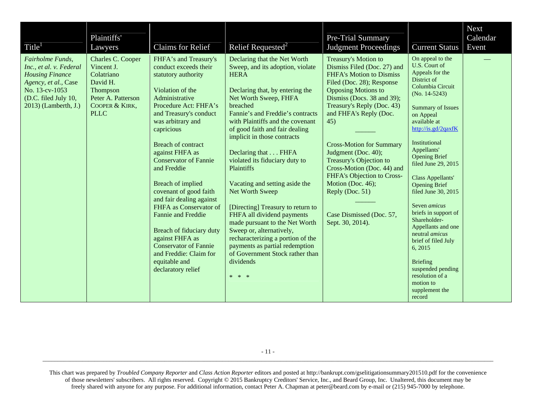| Title <sup>1</sup>                                                                                                                                              | Plaintiffs'<br>Lawyers                                                                                                       | Claims for Relief                                                                                                                                                                                                                                                                                                                                                                                                                                                                                                                                                           | Relief Requested <sup>2</sup>                                                                                                                                                                                                                                                                                                                                                                                                                                                                                                                                                                                                                                                                   | Pre-Trial Summary<br><b>Judgment Proceedings</b>                                                                                                                                                                                                                                                                                                                                                                                                                                        | <b>Current Status</b>                                                                                                                                                                                                                                                                                                                                                                                                                                                                                                                                                                             | Next<br>Calendar<br>Event |
|-----------------------------------------------------------------------------------------------------------------------------------------------------------------|------------------------------------------------------------------------------------------------------------------------------|-----------------------------------------------------------------------------------------------------------------------------------------------------------------------------------------------------------------------------------------------------------------------------------------------------------------------------------------------------------------------------------------------------------------------------------------------------------------------------------------------------------------------------------------------------------------------------|-------------------------------------------------------------------------------------------------------------------------------------------------------------------------------------------------------------------------------------------------------------------------------------------------------------------------------------------------------------------------------------------------------------------------------------------------------------------------------------------------------------------------------------------------------------------------------------------------------------------------------------------------------------------------------------------------|-----------------------------------------------------------------------------------------------------------------------------------------------------------------------------------------------------------------------------------------------------------------------------------------------------------------------------------------------------------------------------------------------------------------------------------------------------------------------------------------|---------------------------------------------------------------------------------------------------------------------------------------------------------------------------------------------------------------------------------------------------------------------------------------------------------------------------------------------------------------------------------------------------------------------------------------------------------------------------------------------------------------------------------------------------------------------------------------------------|---------------------------|
| Fairholme Funds,<br>Inc., et al. v. Federal<br><b>Housing Finance</b><br>Agency, et al., Case<br>No. 13-cv-1053<br>(D.C. filed July 10,<br>2013) (Lamberth, J.) | Charles C. Cooper<br>Vincent J.<br>Colatriano<br>David H.<br>Thompson<br>Peter A. Patterson<br>COOPER & KIRK,<br><b>PLLC</b> | FHFA's and Treasury's<br>conduct exceeds their<br>statutory authority<br>Violation of the<br>Administrative<br>Procedure Act: FHFA's<br>and Treasury's conduct<br>was arbitrary and<br>capricious<br><b>Breach of contract</b><br>against FHFA as<br><b>Conservator of Fannie</b><br>and Freddie<br>Breach of implied<br>covenant of good faith<br>and fair dealing against<br>FHFA as Conservator of<br>Fannie and Freddie<br>Breach of fiduciary duty<br>against FHFA as<br><b>Conservator of Fannie</b><br>and Freddie: Claim for<br>equitable and<br>declaratory relief | Declaring that the Net Worth<br>Sweep, and its adoption, violate<br><b>HERA</b><br>Declaring that, by entering the<br>Net Worth Sweep, FHFA<br>breached<br>Fannie's and Freddie's contracts<br>with Plaintiffs and the covenant<br>of good faith and fair dealing<br>implicit in those contracts<br>Declaring that FHFA<br>violated its fiduciary duty to<br>Plaintiffs<br>Vacating and setting aside the<br>Net Worth Sweep<br>[Directing] Treasury to return to<br>FHFA all dividend payments<br>made pursuant to the Net Worth<br>Sweep or, alternatively,<br>recharacterizing a portion of the<br>payments as partial redemption<br>of Government Stock rather than<br>dividends<br>$* * *$ | Treasury's Motion to<br>Dismiss Filed (Doc. 27) and<br><b>FHFA's Motion to Dismiss</b><br>Filed (Doc. 28); Response<br><b>Opposing Motions to</b><br>Dismiss (Docs. 38 and 39);<br>Treasury's Reply (Doc. 43)<br>and FHFA's Reply (Doc.<br>45)<br><b>Cross-Motion for Summary</b><br>Judgment (Doc. 40);<br>Treasury's Objection to<br>Cross-Motion (Doc. 44) and<br>FHFA's Objection to Cross-<br>Motion (Doc. 46);<br>Reply (Doc. 51)<br>Case Dismissed (Doc. 57,<br>Sept. 30, 2014). | On appeal to the<br>U.S. Court of<br>Appeals for the<br>District of<br>Columbia Circuit<br>$(No. 14-5243)$<br><b>Summary of Issues</b><br>on Appeal<br>available at<br>http://is.gd/2qaxfK<br>Institutional<br>Appellants'<br><b>Opening Brief</b><br>filed June 29, 2015<br>Class Appellants'<br><b>Opening Brief</b><br>filed June 30, 2015<br>Seven <i>amicus</i><br>briefs in support of<br>Shareholder-<br>Appellants and one<br>neutral <i>amicus</i><br>brief of filed July<br>6, 2015<br><b>Briefing</b><br>suspended pending<br>resolution of a<br>motion to<br>supplement the<br>record |                           |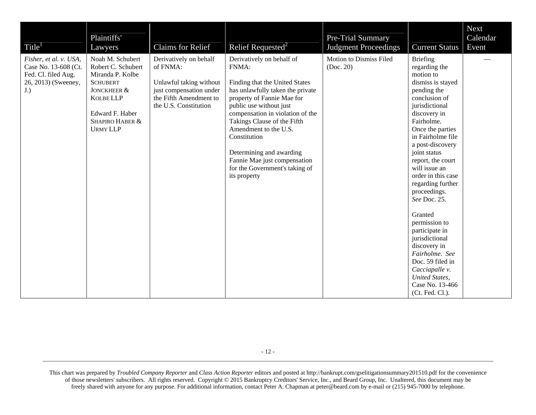| Title <sup>1</sup>                                                                                  | Plaintiffs'<br>Lawyers                                                                                                                                                    | <b>Claims for Relief</b>                                                                                                                    | Relief Requested <sup>2</sup>                                                                                                                                                                                                                                                                                                                                                               | Pre-Trial Summary<br><b>Judgment Proceedings</b> | <b>Current Status</b>                                                                                                                                                                                                                                                                                                                                                                                                                                                                                                                            | <b>Next</b><br>Calendar<br>Event |
|-----------------------------------------------------------------------------------------------------|---------------------------------------------------------------------------------------------------------------------------------------------------------------------------|---------------------------------------------------------------------------------------------------------------------------------------------|---------------------------------------------------------------------------------------------------------------------------------------------------------------------------------------------------------------------------------------------------------------------------------------------------------------------------------------------------------------------------------------------|--------------------------------------------------|--------------------------------------------------------------------------------------------------------------------------------------------------------------------------------------------------------------------------------------------------------------------------------------------------------------------------------------------------------------------------------------------------------------------------------------------------------------------------------------------------------------------------------------------------|----------------------------------|
| Fisher, et al. v. USA,<br>Case No. 13-608 (Ct.<br>Fed. Cl. filed Aug.<br>26, 2013) (Sweeney,<br>J.) | Noah M. Schubert<br>Robert C. Schubert<br>Miranda P. Kolbe<br><b>SCHUBERT</b><br>JONCKHEER &<br><b>KOLBE LLP</b><br>Edward F. Haber<br>SHAPIRO HABER &<br><b>URMY LLP</b> | Derivatively on behalf<br>of FNMA:<br>Unlawful taking without<br>just compensation under<br>the Fifth Amendment to<br>the U.S. Constitution | Derivatively on behalf of<br>FNMA:<br>Finding that the United States<br>has unlawfully taken the private<br>property of Fannie Mae for<br>public use without just<br>compensation in violation of the<br>Takings Clause of the Fifth<br>Amendment to the U.S.<br>Constitution<br>Determining and awarding<br>Fannie Mae just compensation<br>for the Government's taking of<br>its property | Motion to Dismiss Filed<br>(Doc. 20)             | <b>Briefing</b><br>regarding the<br>motion to<br>dismiss is stayed<br>pending the<br>conclusion of<br>jurisdictional<br>discovery in<br>Fairholme.<br>Once the parties<br>in Fairholme file<br>a post-discovery<br>joint status<br>report, the court<br>will issue an<br>order in this case<br>regarding further<br>proceedings.<br>See Doc. 25.<br>Granted<br>permission to<br>participate in<br>jurisdictional<br>discovery in<br>Fairholme. See<br>Doc. 59 filed in<br>Cacciapalle v.<br>United States,<br>Case No. 13-466<br>(Ct. Fed. Cl.). |                                  |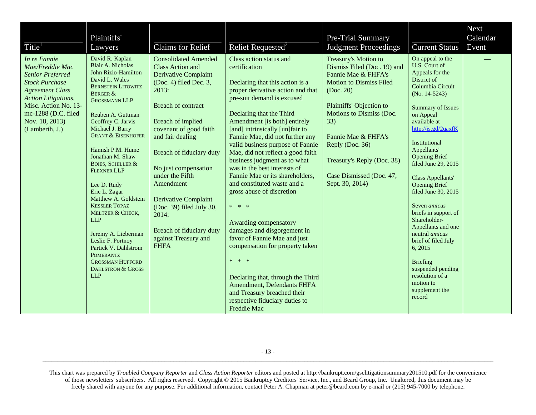| Title <sup>1</sup>                                                                                                                                                                                                             | Plaintiffs'<br>Lawyers                                                                                                                                                                                                                                                                                                                                                                                                                                                                                                                                                                                                                            | <b>Claims for Relief</b>                                                                                                                                                                                                                                                                                                                                                                                                                              | Relief Requested <sup>2</sup>                                                                                                                                                                                                                                                                                                                                                                                                                                                                                                                                                                                                                                                                                                                                                                                            | Pre-Trial Summary<br><b>Judgment Proceedings</b>                                                                                                                                                                                                                                                                | <b>Current Status</b>                                                                                                                                                                                                                                                                                                                                                                                                                                                                                                                                                                      | <b>Next</b><br>Calendar<br>Event |
|--------------------------------------------------------------------------------------------------------------------------------------------------------------------------------------------------------------------------------|---------------------------------------------------------------------------------------------------------------------------------------------------------------------------------------------------------------------------------------------------------------------------------------------------------------------------------------------------------------------------------------------------------------------------------------------------------------------------------------------------------------------------------------------------------------------------------------------------------------------------------------------------|-------------------------------------------------------------------------------------------------------------------------------------------------------------------------------------------------------------------------------------------------------------------------------------------------------------------------------------------------------------------------------------------------------------------------------------------------------|--------------------------------------------------------------------------------------------------------------------------------------------------------------------------------------------------------------------------------------------------------------------------------------------------------------------------------------------------------------------------------------------------------------------------------------------------------------------------------------------------------------------------------------------------------------------------------------------------------------------------------------------------------------------------------------------------------------------------------------------------------------------------------------------------------------------------|-----------------------------------------------------------------------------------------------------------------------------------------------------------------------------------------------------------------------------------------------------------------------------------------------------------------|--------------------------------------------------------------------------------------------------------------------------------------------------------------------------------------------------------------------------------------------------------------------------------------------------------------------------------------------------------------------------------------------------------------------------------------------------------------------------------------------------------------------------------------------------------------------------------------------|----------------------------------|
| In re Fannie<br>Mae/Freddie Mac<br><b>Senior Preferred</b><br><b>Stock Purchase</b><br><b>Agreement Class</b><br><b>Action Litigations,</b><br>Misc. Action No. 13-<br>mc-1288 (D.C. filed<br>Nov. 18, 2013)<br>(Lamberth, J.) | David R. Kaplan<br><b>Blair A. Nicholas</b><br>John Rizio-Hamilton<br>David L. Wales<br><b>BERNSTEIN LITOWITZ</b><br><b>BERGER &amp;</b><br><b>GROSSMANN LLP</b><br>Reuben A. Guttman<br>Geoffrey C. Jarvis<br>Michael J. Barry<br><b>GRANT &amp; EISENHOFER</b><br>Hamish P.M. Hume<br>Jonathan M. Shaw<br><b>BOIES, SCHILLER &amp;</b><br><b>FLEXNER LLP</b><br>Lee D. Rudy<br>Eric L. Zagar<br>Matthew A. Goldstein<br><b>KESSLER TOPAZ</b><br>MELTZER & CHECK,<br><b>LLP</b><br>Jeremy A. Lieberman<br>Leslie F. Portnoy<br>Partick V. Dahlstrom<br><b>POMERANTZ</b><br><b>GROSSMAN HUFFORD</b><br><b>DAHLSTRON &amp; GROSS</b><br><b>LLP</b> | <b>Consolidated Amended</b><br><b>Class Action and</b><br><b>Derivative Complaint</b><br>$(Doc. 4)$ filed Dec. 3,<br>2013:<br><b>Breach of contract</b><br>Breach of implied<br>covenant of good faith<br>and fair dealing<br>Breach of fiduciary duty<br>No just compensation<br>under the Fifth<br>Amendment<br><b>Derivative Complaint</b><br>(Doc. 39) filed July 30,<br>2014:<br>Breach of fiduciary duty<br>against Treasury and<br><b>FHFA</b> | Class action status and<br>certification<br>Declaring that this action is a<br>proper derivative action and that<br>pre-suit demand is excused<br>Declaring that the Third<br>Amendment [is both] entirely<br>[and] intrinsically [un]fair to<br>Fannie Mae, did not further any<br>valid business purpose of Fannie<br>Mae, did not reflect a good faith<br>business judgment as to what<br>was in the best interests of<br>Fannie Mae or its shareholders,<br>and constituted waste and a<br>gross abuse of discretion<br>* * *<br>Awarding compensatory<br>damages and disgorgement in<br>favor of Fannie Mae and just<br>compensation for property taken<br>* * *<br>Declaring that, through the Third<br>Amendment, Defendants FHFA<br>and Treasury breached their<br>respective fiduciary duties to<br>Freddie Mac | Treasury's Motion to<br>Dismiss Filed (Doc. 19) and<br>Fannie Mae & FHFA's<br><b>Motion to Dismiss Filed</b><br>(Doc. 20)<br>Plaintiffs' Objection to<br>Motions to Dismiss (Doc.<br>33)<br>Fannie Mae & FHFA's<br>Reply (Doc. 36)<br>Treasury's Reply (Doc. 38)<br>Case Dismissed (Doc. 47,<br>Sept. 30, 2014) | On appeal to the<br>U.S. Court of<br>Appeals for the<br>District of<br>Columbia Circuit<br>$(No. 14-5243)$<br><b>Summary of Issues</b><br>on Appeal<br>available at<br>http://is.gd/2qaxfK<br>Institutional<br>Appellants'<br><b>Opening Brief</b><br>filed June 29, 2015<br>Class Appellants'<br><b>Opening Brief</b><br>filed June 30, 2015<br>Seven <i>amicus</i><br>briefs in support of<br>Shareholder-<br>Appellants and one<br>neutral amicus<br>brief of filed July<br>6, 2015<br><b>Briefing</b><br>suspended pending<br>resolution of a<br>motion to<br>supplement the<br>record |                                  |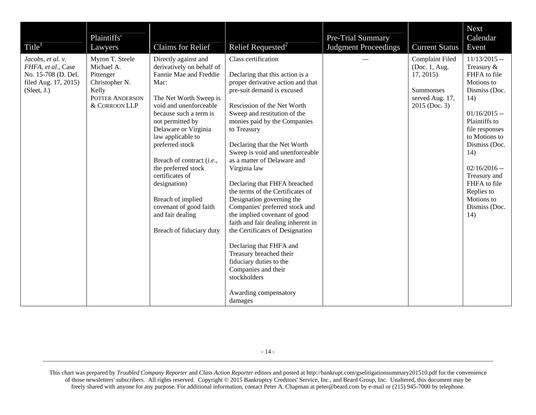| Title <sup>1</sup>                                                                                    | Plaintiffs'<br>Lawyers                                                                                    | <b>Claims for Relief</b>                                                                                                                                                                                                                                                                                                                                                                                                                    | Relief Requested <sup>2</sup>                                                                                                                                                                                                                                                                                                                                                                                                                                                                                                                                                                                                                                                                                                                                     | Pre-Trial Summary<br><b>Judgment Proceedings</b> | <b>Current Status</b>                                                                                       | Next<br>Calendar<br>Event                                                                                                                                                                                                                                                              |
|-------------------------------------------------------------------------------------------------------|-----------------------------------------------------------------------------------------------------------|---------------------------------------------------------------------------------------------------------------------------------------------------------------------------------------------------------------------------------------------------------------------------------------------------------------------------------------------------------------------------------------------------------------------------------------------|-------------------------------------------------------------------------------------------------------------------------------------------------------------------------------------------------------------------------------------------------------------------------------------------------------------------------------------------------------------------------------------------------------------------------------------------------------------------------------------------------------------------------------------------------------------------------------------------------------------------------------------------------------------------------------------------------------------------------------------------------------------------|--------------------------------------------------|-------------------------------------------------------------------------------------------------------------|----------------------------------------------------------------------------------------------------------------------------------------------------------------------------------------------------------------------------------------------------------------------------------------|
| Jacobs, et al. v.<br>FHFA, et al., Case<br>No. 15-708 (D. Del.<br>filed Aug. 17, 2015)<br>(Sleet, J.) | Myron T. Steele<br>Michael A.<br>Pittenger<br>Christopher N.<br>Kelly<br>POTTER ANDERSON<br>& CORROON LLP | Directly against and<br>derivatively on behalf of<br>Fannie Mae and Freddie<br>Mac:<br>The Net Worth Sweep is<br>void and unenforceable<br>because such a term is<br>not permitted by<br>Delaware or Virginia<br>law applicable to<br>preferred stock<br>Breach of contract (i.e.,<br>the preferred stock<br>certificates of<br>designation)<br>Breach of implied<br>covenant of good faith<br>and fair dealing<br>Breach of fiduciary duty | Class certification<br>Declaring that this action is a<br>proper derivative action and that<br>pre-suit demand is excused<br>Rescission of the Net Worth<br>Sweep and restitution of the<br>monies paid by the Companies<br>to Treasury<br>Declaring that the Net Worth<br>Sweep is void and unenforceable<br>as a matter of Delaware and<br>Virginia law<br>Declaring that FHFA breached<br>the terms of the Certificates of<br>Designation governing the<br>Companies' preferred stock and<br>the implied covenant of good<br>faith and fair dealing inherent in<br>the Certificates of Designation<br>Declaring that FHFA and<br>Treasury breached their<br>fiduciary duties to the<br>Companies and their<br>stockholders<br>Awarding compensatory<br>damages |                                                  | <b>Complaint Filed</b><br>(Doc. 1, Aug.<br>17, 2015<br><b>Summonses</b><br>served Aug. 17,<br>2015 (Doc. 3) | $11/13/2015 -$<br>Treasury &<br>FHFA to file<br>Motions to<br>Dismiss (Doc.<br>14)<br>$01/16/2015 -$<br>Plaintiffs to<br>file responses<br>to Motions to<br>Dismiss (Doc.<br>14)<br>$02/16/2016 -$<br>Treasury and<br>FHFA to file<br>Replies to<br>Motions to<br>Dismiss (Doc.<br>14) |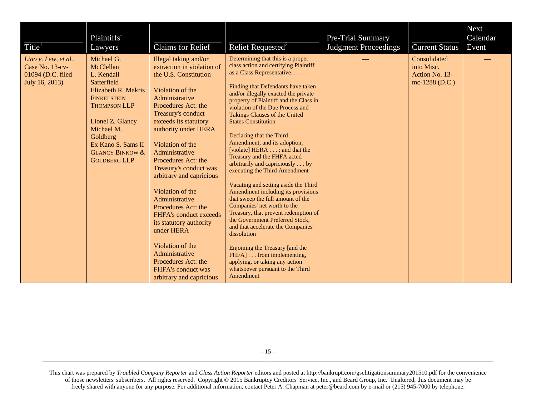| Title <sup>1</sup>                                                             | Plaintiffs'<br>Lawyers                                                                                                                                                                                                                            | Claims for Relief                                                                                                                                                                                                                                                                                                                                                                                                                                                                                                                                                                  | Relief Requested <sup>2</sup>                                                                                                                                                                                                                                                                                                                                                                                                                                                                                                                                                                                                                                                                                                                                                                                                                                                                                                                                                 | Pre-Trial Summary<br><b>Judgment Proceedings</b> | <b>Current Status</b>                                          | <b>Next</b><br>Calendar<br>Event |
|--------------------------------------------------------------------------------|---------------------------------------------------------------------------------------------------------------------------------------------------------------------------------------------------------------------------------------------------|------------------------------------------------------------------------------------------------------------------------------------------------------------------------------------------------------------------------------------------------------------------------------------------------------------------------------------------------------------------------------------------------------------------------------------------------------------------------------------------------------------------------------------------------------------------------------------|-------------------------------------------------------------------------------------------------------------------------------------------------------------------------------------------------------------------------------------------------------------------------------------------------------------------------------------------------------------------------------------------------------------------------------------------------------------------------------------------------------------------------------------------------------------------------------------------------------------------------------------------------------------------------------------------------------------------------------------------------------------------------------------------------------------------------------------------------------------------------------------------------------------------------------------------------------------------------------|--------------------------------------------------|----------------------------------------------------------------|----------------------------------|
| Liao v. Lew, et al.,<br>Case No. 13-cv-<br>01094 (D.C. filed<br>July 16, 2013) | Michael G.<br>McClellan<br>L. Kendall<br>Satterfield<br>Elizabeth R. Makris<br><b>FINKELSTEIN</b><br><b>THOMPSON LLP</b><br>Lionel Z. Glancy<br>Michael M.<br>Goldberg<br>Ex Kano S. Sams II<br><b>GLANCY BINKOW &amp;</b><br><b>GOLDBERG LLP</b> | Illegal taking and/or<br>extraction in violation of<br>the U.S. Constitution<br>Violation of the<br>Administrative<br>Procedures Act: the<br>Treasury's conduct<br>exceeds its statutory<br>authority under HERA<br>Violation of the<br>Administrative<br>Procedures Act: the<br>Treasury's conduct was<br>arbitrary and capricious<br>Violation of the<br>Administrative<br>Procedures Act: the<br>FHFA's conduct exceeds<br>its statutory authority<br>under HERA<br>Violation of the<br>Administrative<br>Procedures Act: the<br>FHFA's conduct was<br>arbitrary and capricious | Determining that this is a proper<br>class action and certifying Plaintiff<br>as a Class Representative<br>Finding that Defendants have taken<br>and/or illegally exacted the private<br>property of Plaintiff and the Class in<br>violation of the Due Process and<br><b>Takings Clauses of the United</b><br><b>States Constitution</b><br>Declaring that the Third<br>Amendment, and its adoption,<br>[violate] HERA ; and that the<br>Treasury and the FHFA acted<br>arbitrarily and capriciously by<br>executing the Third Amendment<br>Vacating and setting aside the Third<br>Amendment including its provisions<br>that sweep the full amount of the<br>Companies' net worth to the<br>Treasury, that prevent redemption of<br>the Government Preferred Stock,<br>and that accelerate the Companies'<br>dissolution<br>Enjoining the Treasury [and the<br>FHFA] from implementing,<br>applying, or taking any action<br>whatsoever pursuant to the Third<br>Amendment |                                                  | Consolidated<br>into Misc.<br>Action No. 13-<br>mc-1288 (D.C.) |                                  |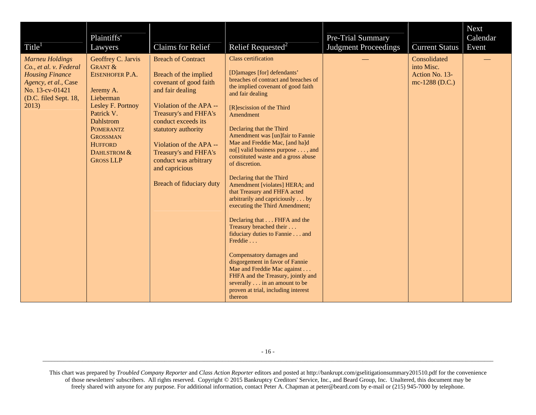| Title <sup>1</sup>                                                                                                                                      | Plaintiffs'<br>Lawyers                                                                                                                                                                                                            | <b>Claims for Relief</b>                                                                                                                                                                                                                                                                                                      | Relief Requested <sup>2</sup>                                                                                                                                                                                                                                                                                                                                                                                                                                                                                                                                                                                                                                                                                                                                                                                                                                                                         | Pre-Trial Summary<br><b>Judgment Proceedings</b> | <b>Current Status</b>                                          | Next<br>Calendar<br>Event |
|---------------------------------------------------------------------------------------------------------------------------------------------------------|-----------------------------------------------------------------------------------------------------------------------------------------------------------------------------------------------------------------------------------|-------------------------------------------------------------------------------------------------------------------------------------------------------------------------------------------------------------------------------------------------------------------------------------------------------------------------------|-------------------------------------------------------------------------------------------------------------------------------------------------------------------------------------------------------------------------------------------------------------------------------------------------------------------------------------------------------------------------------------------------------------------------------------------------------------------------------------------------------------------------------------------------------------------------------------------------------------------------------------------------------------------------------------------------------------------------------------------------------------------------------------------------------------------------------------------------------------------------------------------------------|--------------------------------------------------|----------------------------------------------------------------|---------------------------|
| <b>Marneu Holdings</b><br>Co., et al. v. Federal<br><b>Housing Finance</b><br>Agency, et al., Case<br>No. 13-cv-01421<br>(D.C. filed Sept. 18,<br>2013) | Geoffrey C. Jarvis<br><b>GRANT &amp;</b><br>EISENHOFER P.A.<br>Jeremy A.<br>Lieberman<br>Lesley F. Portnoy<br>Patrick V.<br><b>Dahlstrom</b><br>POMERANTZ<br><b>GROSSMAN</b><br><b>HUFFORD</b><br>DAHLSTROM &<br><b>GROSS LLP</b> | <b>Breach of Contract</b><br>Breach of the implied<br>covenant of good faith<br>and fair dealing<br>Violation of the APA --<br>Treasury's and FHFA's<br>conduct exceeds its<br>statutory authority<br>Violation of the APA --<br>Treasury's and FHFA's<br>conduct was arbitrary<br>and capricious<br>Breach of fiduciary duty | <b>Class certification</b><br>[D]amages [for] defendants'<br>breaches of contract and breaches of<br>the implied covenant of good faith<br>and fair dealing<br>[R]escission of the Third<br>Amendment<br>Declaring that the Third<br>Amendment was [un]fair to Fannie<br>Mae and Freddie Mac, [and ha]d<br>no[] valid business purpose , and<br>constituted waste and a gross abuse<br>of discretion.<br>Declaring that the Third<br>Amendment [violates] HERA; and<br>that Treasury and FHFA acted<br>arbitrarily and capriciously by<br>executing the Third Amendment;<br>Declaring that FHFA and the<br>Treasury breached their<br>fiduciary duties to Fannie and<br>Freddie<br>Compensatory damages and<br>disgorgement in favor of Fannie<br>Mae and Freddie Mac against<br>FHFA and the Treasury, jointly and<br>severally in an amount to be<br>proven at trial, including interest<br>thereon |                                                  | Consolidated<br>into Misc.<br>Action No. 13-<br>mc-1288 (D.C.) |                           |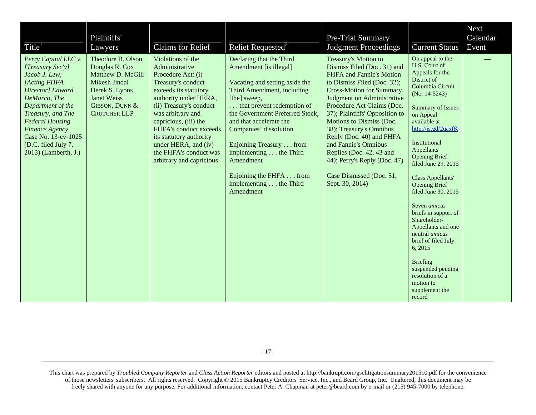| Title <sup>1</sup>                                                                                                                                                                                                                                                         | Plaintiffs'<br>Lawyers                                                                                                                                     | Claims for Relief                                                                                                                                                                                                                                                                                                                             | Relief Requested <sup>2</sup>                                                                                                                                                                                                                                                                                                                                                                | Pre-Trial Summary<br><b>Judgment Proceedings</b>                                                                                                                                                                                                                                                                                                                                                                                                                      | <b>Current Status</b>                                                                                                                                                                                                                                                                                                                                                                                                                                                                                                                                                                             | <b>Next</b><br>Calendar<br>Event |
|----------------------------------------------------------------------------------------------------------------------------------------------------------------------------------------------------------------------------------------------------------------------------|------------------------------------------------------------------------------------------------------------------------------------------------------------|-----------------------------------------------------------------------------------------------------------------------------------------------------------------------------------------------------------------------------------------------------------------------------------------------------------------------------------------------|----------------------------------------------------------------------------------------------------------------------------------------------------------------------------------------------------------------------------------------------------------------------------------------------------------------------------------------------------------------------------------------------|-----------------------------------------------------------------------------------------------------------------------------------------------------------------------------------------------------------------------------------------------------------------------------------------------------------------------------------------------------------------------------------------------------------------------------------------------------------------------|---------------------------------------------------------------------------------------------------------------------------------------------------------------------------------------------------------------------------------------------------------------------------------------------------------------------------------------------------------------------------------------------------------------------------------------------------------------------------------------------------------------------------------------------------------------------------------------------------|----------------------------------|
| Perry Capital LLC v.<br>[Treasury Sec'y]<br>Jacob J. Lew,<br>[Acting FHFA<br>Director] Edward<br>DeMarco, The<br>Department of the<br>Treasury, and The<br><b>Federal Housing</b><br>Finance Agency,<br>Case No. 13-cv-1025<br>(D.C. filed July 7,<br>2013) (Lamberth, J.) | Theodore B. Olson<br>Douglas R. Cox<br>Matthew D. McGill<br>Mikesh Jindal<br>Derek S. Lyons<br><b>Janet Weiss</b><br>GIBSON, DUNN &<br><b>CRUTCHER LLP</b> | Violations of the<br>Administrative<br>Procedure Act: (i)<br>Treasury's conduct<br>exceeds its statutory<br>authority under HERA,<br>(ii) Treasury's conduct<br>was arbitrary and<br>capricious, (iii) the<br>FHFA's conduct exceeds<br>its statutory authority<br>under HERA, and (iv)<br>the FHFA's conduct was<br>arbitrary and capricious | Declaring that the Third<br>Amendment [is illegal]<br>Vacating and setting aside the<br>Third Amendment, including<br>[the] sweep,<br>that prevent redemption of<br>the Government Preferred Stock,<br>and that accelerate the<br>Companies' dissolution<br>Enjoining Treasury from<br>implementing the Third<br>Amendment<br>Enjoining the FHFA from<br>implementing the Third<br>Amendment | Treasury's Motion to<br>Dismiss Filed (Doc. 31) and<br>FHFA and Fannie's Motion<br>to Dismiss Filed (Doc. 32);<br><b>Cross-Motion for Summary</b><br>Judgment on Administrative<br>Procedure Act Claims (Doc.<br>37); Plaintiffs' Opposition to<br>Motions to Dismiss (Doc.<br>38); Treasury's Omnibus<br>Reply (Doc. 40) and FHFA<br>and Fannie's Omnibus<br>Replies (Doc. 42, 43 and<br>44); Perry's Reply (Doc. 47)<br>Case Dismissed (Doc. 51,<br>Sept. 30, 2014) | On appeal to the<br>U.S. Court of<br>Appeals for the<br>District of<br>Columbia Circuit<br>$(No. 14-5243)$<br><b>Summary of Issues</b><br>on Appeal<br>available at<br>http://is.gd/2qaxfK<br>Institutional<br>Appellants'<br><b>Opening Brief</b><br>filed June 29, 2015<br>Class Appellants'<br><b>Opening Brief</b><br>filed June 30, 2015<br>Seven <i>amicus</i><br>briefs in support of<br>Shareholder-<br>Appellants and one<br>neutral <i>amicus</i><br>brief of filed July<br>6, 2015<br><b>Briefing</b><br>suspended pending<br>resolution of a<br>motion to<br>supplement the<br>record |                                  |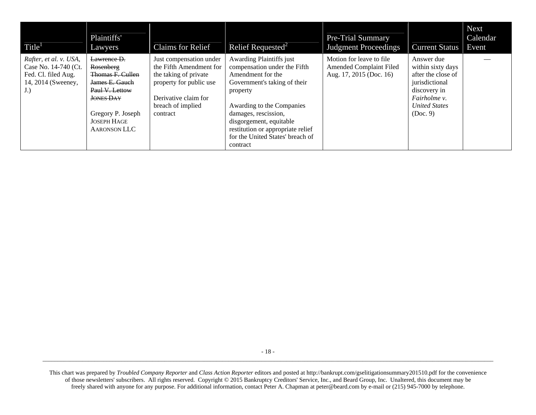| Title <sup>1</sup>                                                                                | Plaintiffs'<br>Lawyers                                                                                                                                                 | Claims for Relief                                                                                                                                               | Relief Requested <sup>2</sup>                                                                                                                                                                                                                                                                  | <b>Pre-Trial Summary</b><br><b>Judgment Proceedings</b>                                | <b>Current Status</b>                                                                                                                       | <b>Next</b><br>Calendar<br>Event |
|---------------------------------------------------------------------------------------------------|------------------------------------------------------------------------------------------------------------------------------------------------------------------------|-----------------------------------------------------------------------------------------------------------------------------------------------------------------|------------------------------------------------------------------------------------------------------------------------------------------------------------------------------------------------------------------------------------------------------------------------------------------------|----------------------------------------------------------------------------------------|---------------------------------------------------------------------------------------------------------------------------------------------|----------------------------------|
| Rafter, et al. v. USA,<br>Case No. 14-740 (Ct.<br>Fed. Cl. filed Aug.<br>14, 2014 (Sweeney,<br>J. | Lawrence D.<br>Rosenberg<br>Thomas F. Cullen<br>James E. Gauch<br>Paul V. Lettow<br><b>JONES DAY</b><br>Gregory P. Joseph<br><b>JOSEPH HAGE</b><br><b>AARONSON LLC</b> | Just compensation under<br>the Fifth Amendment for<br>the taking of private<br>property for public use<br>Derivative claim for<br>breach of implied<br>contract | Awarding Plaintiffs just<br>compensation under the Fifth<br>Amendment for the<br>Government's taking of their<br>property<br>Awarding to the Companies<br>damages, rescission,<br>disgorgement, equitable<br>restitution or appropriate relief<br>for the United States' breach of<br>contract | Motion for leave to file.<br><b>Amended Complaint Filed</b><br>Aug. 17, 2015 (Doc. 16) | Answer due<br>within sixty days<br>after the close of<br>jurisdictional<br>discovery in<br>Fairholme v.<br><b>United States</b><br>(Doc. 9) |                                  |

This chart was prepared by *Troubled Company Reporter* and *Class Action Reporter* editors and posted at http://bankrupt.com/gselitigationsummary201510.pdf for the convenience of those newsletters' subscribers. All rights reserved. Copyright © 2015 Bankruptcy Creditors' Service, Inc., and Beard Group, Inc. Unaltered, this document may be freely shared with anyone for any purpose. For additional information, contact Peter A. Chapman at peter@beard.com by e-mail or (215) 945-7000 by telephone.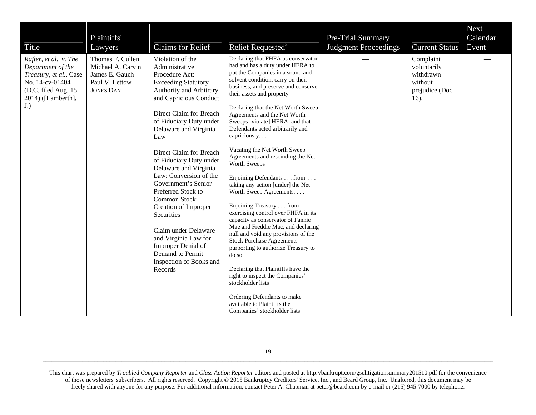| Title <sup>1</sup>                                                                                                                           | Plaintiffs'<br>Lawyers                                                                        | Claims for Relief                                                                                                                                                                                                                                                                                                                                                                                                                                                                                                                                                          | Relief Requested <sup>2</sup>                                                                                                                                                                                                                                                                                                                                                                                                                                                                                                                                                                                                                                                                                                                                                                                                                                                                                                                                                                                                          | Pre-Trial Summary<br><b>Judgment Proceedings</b> | <b>Current Status</b>                                                       | Next<br>Calendar<br>Event |
|----------------------------------------------------------------------------------------------------------------------------------------------|-----------------------------------------------------------------------------------------------|----------------------------------------------------------------------------------------------------------------------------------------------------------------------------------------------------------------------------------------------------------------------------------------------------------------------------------------------------------------------------------------------------------------------------------------------------------------------------------------------------------------------------------------------------------------------------|----------------------------------------------------------------------------------------------------------------------------------------------------------------------------------------------------------------------------------------------------------------------------------------------------------------------------------------------------------------------------------------------------------------------------------------------------------------------------------------------------------------------------------------------------------------------------------------------------------------------------------------------------------------------------------------------------------------------------------------------------------------------------------------------------------------------------------------------------------------------------------------------------------------------------------------------------------------------------------------------------------------------------------------|--------------------------------------------------|-----------------------------------------------------------------------------|---------------------------|
| Rafter, et al. v. The<br>Department of the<br>Treasury, et al., Case<br>No. 14-cv-01404<br>(D.C. filed Aug. 15,<br>2014) ([Lamberth],<br>J.) | Thomas F. Cullen<br>Michael A. Carvin<br>James E. Gauch<br>Paul V. Lettow<br><b>JONES DAY</b> | Violation of the<br>Administrative<br>Procedure Act:<br><b>Exceeding Statutory</b><br>Authority and Arbitrary<br>and Capricious Conduct<br>Direct Claim for Breach<br>of Fiduciary Duty under<br>Delaware and Virginia<br>Law<br>Direct Claim for Breach<br>of Fiduciary Duty under<br>Delaware and Virginia<br>Law: Conversion of the<br>Government's Senior<br>Preferred Stock to<br>Common Stock;<br>Creation of Improper<br>Securities<br>Claim under Delaware<br>and Virginia Law for<br>Improper Denial of<br>Demand to Permit<br>Inspection of Books and<br>Records | Declaring that FHFA as conservator<br>had and has a duty under HERA to<br>put the Companies in a sound and<br>solvent condition, carry on their<br>business, and preserve and conserve<br>their assets and property<br>Declaring that the Net Worth Sweep<br>Agreements and the Net Worth<br>Sweeps [violate] HERA, and that<br>Defendants acted arbitrarily and<br>capriciously<br>Vacating the Net Worth Sweep<br>Agreements and rescinding the Net<br>Worth Sweeps<br>Enjoining Defendants from<br>taking any action [under] the Net<br>Worth Sweep Agreements.<br>Enjoining Treasury from<br>exercising control over FHFA in its<br>capacity as conservator of Fannie<br>Mae and Freddie Mac, and declaring<br>null and void any provisions of the<br><b>Stock Purchase Agreements</b><br>purporting to authorize Treasury to<br>do so<br>Declaring that Plaintiffs have the<br>right to inspect the Companies'<br>stockholder lists<br>Ordering Defendants to make<br>available to Plaintiffs the<br>Companies' stockholder lists |                                                  | Complaint<br>voluntarily<br>withdrawn<br>without<br>prejudice (Doc.<br>16). |                           |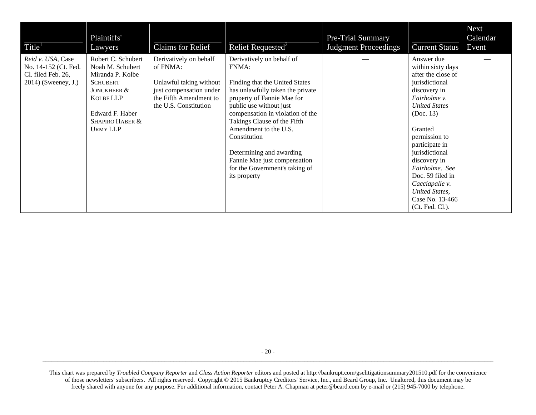| Title <sup>1</sup>                                                                     | Plaintiffs'<br>Lawyers                                                                                                                                             | <b>Claims for Relief</b>                                                                                                                    | Relief Requested <sup>2</sup>                                                                                                                                                                                                                                                                                                                                                               | <b>Pre-Trial Summary</b><br><b>Judgment Proceedings</b> | <b>Current Status</b>                                                                                                                                                                                                                                                                                                                        | <b>Next</b><br>Calendar<br>Event |
|----------------------------------------------------------------------------------------|--------------------------------------------------------------------------------------------------------------------------------------------------------------------|---------------------------------------------------------------------------------------------------------------------------------------------|---------------------------------------------------------------------------------------------------------------------------------------------------------------------------------------------------------------------------------------------------------------------------------------------------------------------------------------------------------------------------------------------|---------------------------------------------------------|----------------------------------------------------------------------------------------------------------------------------------------------------------------------------------------------------------------------------------------------------------------------------------------------------------------------------------------------|----------------------------------|
| Reid v. USA, Case<br>No. 14-152 (Ct. Fed.<br>Cl. filed Feb. 26,<br>2014) (Sweeney, J.) | Robert C. Schubert<br>Noah M. Schubert<br>Miranda P. Kolbe<br><b>SCHUBERT</b><br>JONCKHEER &<br>KOLBE LLP<br>Edward F. Haber<br>SHAPIRO HABER &<br><b>URMY LLP</b> | Derivatively on behalf<br>of FNMA:<br>Unlawful taking without<br>just compensation under<br>the Fifth Amendment to<br>the U.S. Constitution | Derivatively on behalf of<br>FNMA:<br>Finding that the United States<br>has unlawfully taken the private<br>property of Fannie Mae for<br>public use without just<br>compensation in violation of the<br>Takings Clause of the Fifth<br>Amendment to the U.S.<br>Constitution<br>Determining and awarding<br>Fannie Mae just compensation<br>for the Government's taking of<br>its property |                                                         | Answer due<br>within sixty days<br>after the close of<br>jurisdictional<br>discovery in<br>Fairholme v.<br><b>United States</b><br>(Doc. 13)<br>Granted<br>permission to<br>participate in<br>jurisdictional<br>discovery in<br>Fairholme. See<br>Doc. 59 filed in<br>Cacciapalle v.<br>United States,<br>Case No. 13-466<br>(Ct. Fed. Cl.). |                                  |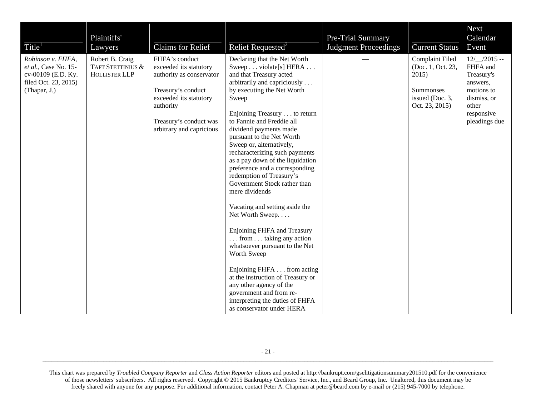| Title <sup>1</sup>                                                                                      | Plaintiffs'<br>Lawyers                                       | <b>Claims for Relief</b>                                                                                                                                                                | Relief Requested <sup>2</sup>                                                                                                                                                                                                                                                                                                                                                                                                                                                                                                                                                                                                                                                                                                                                                                                                                                           | Pre-Trial Summary<br><b>Judgment Proceedings</b> | <b>Current Status</b>                                                                           | <b>Next</b><br>Calendar<br>Event                                                                                          |
|---------------------------------------------------------------------------------------------------------|--------------------------------------------------------------|-----------------------------------------------------------------------------------------------------------------------------------------------------------------------------------------|-------------------------------------------------------------------------------------------------------------------------------------------------------------------------------------------------------------------------------------------------------------------------------------------------------------------------------------------------------------------------------------------------------------------------------------------------------------------------------------------------------------------------------------------------------------------------------------------------------------------------------------------------------------------------------------------------------------------------------------------------------------------------------------------------------------------------------------------------------------------------|--------------------------------------------------|-------------------------------------------------------------------------------------------------|---------------------------------------------------------------------------------------------------------------------------|
| Robinson v. FHFA,<br>et al., Case No. 15-<br>cv-00109 (E.D. Ky.<br>filed Oct. 23, 2015)<br>(Thapar, J.) | Robert B. Craig<br>TAFT STETTINIUS &<br><b>HOLLISTER LLP</b> | FHFA's conduct<br>exceeded its statutory<br>authority as conservator<br>Treasury's conduct<br>exceeded its statutory<br>authority<br>Treasury's conduct was<br>arbitrary and capricious | Declaring that the Net Worth<br>Sweep violate[s] HERA<br>and that Treasury acted<br>arbitrarily and capriciously<br>by executing the Net Worth<br>Sweep<br>Enjoining Treasury to return<br>to Fannie and Freddie all<br>dividend payments made<br>pursuant to the Net Worth<br>Sweep or, alternatively,<br>recharacterizing such payments<br>as a pay down of the liquidation<br>preference and a corresponding<br>redemption of Treasury's<br>Government Stock rather than<br>mere dividends<br>Vacating and setting aside the<br>Net Worth Sweep<br>Enjoining FHFA and Treasury<br>$\ldots$ from $\ldots$ taking any action<br>whatsoever pursuant to the Net<br>Worth Sweep<br>Enjoining FHFA from acting<br>at the instruction of Treasury or<br>any other agency of the<br>government and from re-<br>interpreting the duties of FHFA<br>as conservator under HERA |                                                  | Complaint Filed<br>(Doc. 1, Oct. 23,<br>2015)<br>Summonses<br>issued (Doc. 3,<br>Oct. 23, 2015) | $12/$ /2015 --<br>FHFA and<br>Treasury's<br>answers,<br>motions to<br>dismiss, or<br>other<br>responsive<br>pleadings due |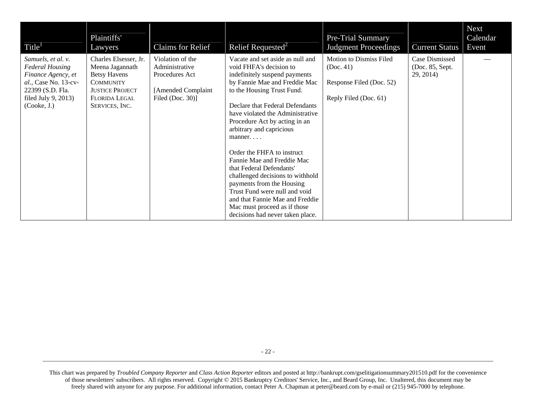| Title <sup>1</sup>                                                                                                                                      | Plaintiffs'<br>Lawyers                                                                                                                                  | Claims for Relief                                                                                  | Relief Requested <sup>2</sup>                                                                                                                                                                                                                                                                                                                                                                                                                                                                                                                                                                                        | <b>Pre-Trial Summary</b><br><b>Judgment Proceedings</b>                                   | Current Status                                 | <b>Next</b><br>Calendar<br>Event |
|---------------------------------------------------------------------------------------------------------------------------------------------------------|---------------------------------------------------------------------------------------------------------------------------------------------------------|----------------------------------------------------------------------------------------------------|----------------------------------------------------------------------------------------------------------------------------------------------------------------------------------------------------------------------------------------------------------------------------------------------------------------------------------------------------------------------------------------------------------------------------------------------------------------------------------------------------------------------------------------------------------------------------------------------------------------------|-------------------------------------------------------------------------------------------|------------------------------------------------|----------------------------------|
| Samuels, et al. v.<br><b>Federal Housing</b><br>Finance Agency, et<br>al., Case No. 13-cv-<br>22399 (S.D. Fla.<br>filed July $9, 2013$ )<br>(Cooke, J.) | Charles Elsesser, Jr.<br>Meena Jagannath<br><b>Betsy Havens</b><br><b>COMMUNITY</b><br><b>JUSTICE PROJECT</b><br><b>FLORIDA LEGAL</b><br>SERVICES, INC. | Violation of the<br>Administrative<br>Procedures Act<br>[Amended Complaint]<br>Filed (Doc. $30$ )] | Vacate and set aside as null and<br>void FHFA's decision to<br>indefinitely suspend payments<br>by Fannie Mae and Freddie Mac<br>to the Housing Trust Fund.<br>Declare that Federal Defendants<br>have violated the Administrative<br>Procedure Act by acting in an<br>arbitrary and capricious<br>$manner. \ldots$<br>Order the FHFA to instruct<br>Fannie Mae and Freddie Mac<br>that Federal Defendants'<br>challenged decisions to withhold<br>payments from the Housing<br>Trust Fund were null and void<br>and that Fannie Mae and Freddie<br>Mac must proceed as if those<br>decisions had never taken place. | Motion to Dismiss Filed<br>(Doc. 41)<br>Response Filed (Doc. 52)<br>Reply Filed (Doc. 61) | Case Dismissed<br>(Doc. 85, Sept.<br>29, 2014) |                                  |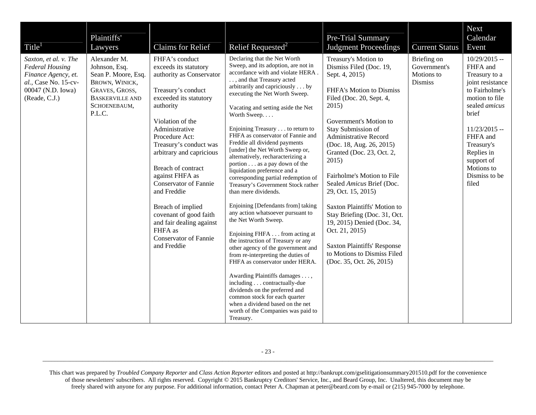| Title <sup>1</sup>                                                                                                                   | Plaintiffs'<br>Lawyers                                                                                                                       | <b>Claims for Relief</b>                                                                                                                                                                                                                                                                                                                                                                                                                                                    | Relief Requested <sup>2</sup>                                                                                                                                                                                                                                                                                                                                                                                                                                                                                                                                                                                                                                                                                                                                                                                                                                                                                                                                                                                                                                                                                                           | Pre-Trial Summary<br><b>Judgment Proceedings</b>                                                                                                                                                                                                                                                                                                                                                                                                                                                                                                                                       | <b>Current Status</b>                                       | <b>Next</b><br>Calendar<br>Event                                                                                                                                                                                                                     |
|--------------------------------------------------------------------------------------------------------------------------------------|----------------------------------------------------------------------------------------------------------------------------------------------|-----------------------------------------------------------------------------------------------------------------------------------------------------------------------------------------------------------------------------------------------------------------------------------------------------------------------------------------------------------------------------------------------------------------------------------------------------------------------------|-----------------------------------------------------------------------------------------------------------------------------------------------------------------------------------------------------------------------------------------------------------------------------------------------------------------------------------------------------------------------------------------------------------------------------------------------------------------------------------------------------------------------------------------------------------------------------------------------------------------------------------------------------------------------------------------------------------------------------------------------------------------------------------------------------------------------------------------------------------------------------------------------------------------------------------------------------------------------------------------------------------------------------------------------------------------------------------------------------------------------------------------|----------------------------------------------------------------------------------------------------------------------------------------------------------------------------------------------------------------------------------------------------------------------------------------------------------------------------------------------------------------------------------------------------------------------------------------------------------------------------------------------------------------------------------------------------------------------------------------|-------------------------------------------------------------|------------------------------------------------------------------------------------------------------------------------------------------------------------------------------------------------------------------------------------------------------|
| Saxton, et al. v. The<br><b>Federal Housing</b><br>Finance Agency, et.<br>al., Case No. 15-cv-<br>00047 (N.D. Iowa)<br>(Reade, C.J.) | Alexander M.<br>Johnson, Esq.<br>Sean P. Moore, Esq.<br>BROWN, WINICK,<br>GRAVES, GROSS,<br><b>BASKERVILLE AND</b><br>SCHOENEBAUM,<br>P.L.C. | FHFA's conduct<br>exceeds its statutory<br>authority as Conservator<br>Treasury's conduct<br>exceeded its statutory<br>authority<br>Violation of the<br>Administrative<br>Procedure Act:<br>Treasury's conduct was<br>arbitrary and capricious<br>Breach of contract<br>against FHFA as<br><b>Conservator of Fannie</b><br>and Freddie<br>Breach of implied<br>covenant of good faith<br>and fair dealing against<br>FHFA as<br><b>Conservator of Fannie</b><br>and Freddie | Declaring that the Net Worth<br>Sweep, and its adoption, are not in<br>accordance with and violate HERA<br>, and that Treasury acted<br>arbitrarily and capriciously by<br>executing the Net Worth Sweep.<br>Vacating and setting aside the Net<br>Worth Sweep<br>Enjoining Treasury to return to<br>FHFA as conservator of Fannie and<br>Freddie all dividend payments<br>[under] the Net Worth Sweep or,<br>alternatively, recharacterizing a<br>portion as a pay down of the<br>liquidation preference and a<br>corresponding partial redemption of<br>Treasury's Government Stock rather<br>than mere dividends.<br>Enjoining [Defendants from] taking<br>any action whatsoever pursuant to<br>the Net Worth Sweep.<br>Enjoining FHFA from acting at<br>the instruction of Treasury or any<br>other agency of the government and<br>from re-interpreting the duties of<br>FHFA as conservator under HERA.<br>Awarding Plaintiffs damages ,<br>including contractually-due<br>dividends on the preferred and<br>common stock for each quarter<br>when a dividend based on the net<br>worth of the Companies was paid to<br>Treasury. | Treasury's Motion to<br>Dismiss Filed (Doc. 19,<br>Sept. 4, 2015)<br>FHFA's Motion to Dismiss<br>Filed (Doc. 20, Sept. 4,<br>2015)<br>Government's Motion to<br>Stay Submission of<br><b>Administrative Record</b><br>(Doc. 18, Aug. 26, 2015)<br>Granted (Doc. 23, Oct. 2,<br>2015)<br>Fairholme's Motion to File<br>Sealed Amicus Brief (Doc.<br>29, Oct. 15, 2015)<br>Saxton Plaintiffs' Motion to<br>Stay Briefing (Doc. 31, Oct.<br>19, 2015) Denied (Doc. 34,<br>Oct. 21, 2015)<br><b>Saxton Plaintiffs' Response</b><br>to Motions to Dismiss Filed<br>(Doc. 35, Oct. 26, 2015) | Briefing on<br>Government's<br>Motions to<br><b>Dismiss</b> | $10/29/2015 -$<br>FHFA and<br>Treasury to a<br>joint resistance<br>to Fairholme's<br>motion to file<br>sealed <i>amicus</i><br>brief<br>$11/23/2015 -$<br>FHFA and<br>Treasury's<br>Replies in<br>support of<br>Motions to<br>Dismiss to be<br>filed |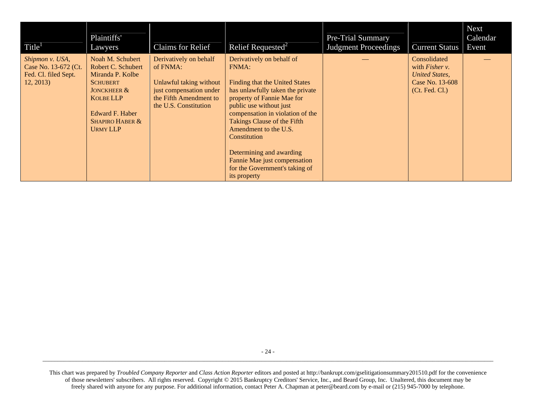| Title <sup>1</sup>                                                          | Plaintiffs'<br>Lawyers                                                                                                                                                                          | <b>Claims</b> for Relief                                                                                                                    | Relief Requested <sup>2</sup>                                                                                                                                                                                                                                                                                                                                                                      | Pre-Trial Summary<br><b>Judgment Proceedings</b> | <b>Current Status</b>                                                                                 | <b>Next</b><br>Calendar<br>Event |
|-----------------------------------------------------------------------------|-------------------------------------------------------------------------------------------------------------------------------------------------------------------------------------------------|---------------------------------------------------------------------------------------------------------------------------------------------|----------------------------------------------------------------------------------------------------------------------------------------------------------------------------------------------------------------------------------------------------------------------------------------------------------------------------------------------------------------------------------------------------|--------------------------------------------------|-------------------------------------------------------------------------------------------------------|----------------------------------|
| Shipmon v. USA,<br>Case No. 13-672 (Ct.<br>Fed. Cl. filed Sept.<br>12, 2013 | Noah M. Schubert<br>Robert C. Schubert<br>Miranda P. Kolbe<br><b>SCHUBERT</b><br><b>JONCKHEER &amp;</b><br><b>KOLBE LLP</b><br>Edward F. Haber<br><b>SHAPIRO HABER &amp;</b><br><b>URMY LLP</b> | Derivatively on behalf<br>of FNMA:<br>Unlawful taking without<br>just compensation under<br>the Fifth Amendment to<br>the U.S. Constitution | Derivatively on behalf of<br><b>FNMA:</b><br>Finding that the United States<br>has unlawfully taken the private<br>property of Fannie Mae for<br>public use without just<br>compensation in violation of the<br>Takings Clause of the Fifth<br>Amendment to the U.S.<br>Constitution<br>Determining and awarding<br>Fannie Mae just compensation<br>for the Government's taking of<br>its property |                                                  | Consolidated<br>with <i>Fisher</i> $v$ .<br>United States.<br>Case No. 13-608<br>$($ Ct. Fed. Cl. $)$ |                                  |